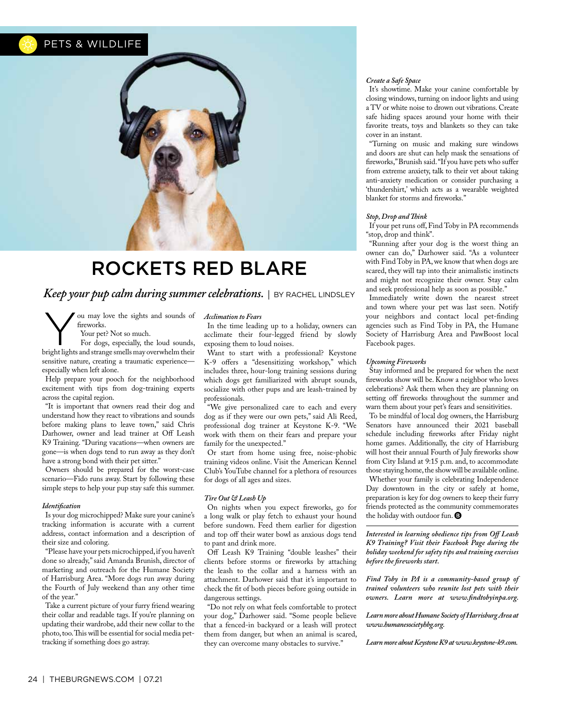### PETS & WILDLIFE



## ROCKETS RED BLARE

*Keep your pup calm during summer celebrations.* | BY RACHEL LINDSLEY

You may love the sights and sounds of<br>
fireworks.<br>
Your pet? Not so much.<br>
For dogs, especially, the loud sounds,<br>
Spirit lights and their freworks.

Your pet? Not so much.

bright lights and strange smells may overwhelm their sensitive nature, creating a traumatic experience especially when left alone.

Help prepare your pooch for the neighborhood excitement with tips from dog-training experts across the capital region.

"It is important that owners read their dog and understand how they react to vibrations and sounds before making plans to leave town," said Chris Darhower, owner and lead trainer at Off Leash K9 Training. "During vacations—when owners are gone—is when dogs tend to run away as they don't have a strong bond with their pet sitter."

Owners should be prepared for the worst-case scenario—Fido runs away. Start by following these simple steps to help your pup stay safe this summer.

#### *Identifcation*

Is your dog microchipped? Make sure your canine's tracking information is accurate with a current address, contact information and a description of their size and coloring.

"Please have your pets microchipped, if you haven't done so already," said Amanda Brunish, director of marketing and outreach for the Humane Society of Harrisburg Area. "More dogs run away during the Fourth of July weekend than any other time of the year."

Take a current picture of your furry friend wearing their collar and readable tags. If you're planning on updating their wardrobe, add their new collar to the photo, too. This will be essential for social media pettracking if something does go astray.

#### *Acclimation to Fears*

In the time leading up to a holiday, owners can acclimate their four-legged friend by slowly exposing them to loud noises.

Want to start with a professional? Keystone K-9 offers a "desensitizing workshop," which includes three, hour-long training sessions during which dogs get familiarized with abrupt sounds, socialize with other pups and are leash-trained by professionals.

"We give personalized care to each and every dog as if they were our own pets," said Ali Reed, professional dog trainer at Keystone K-9. "We work with them on their fears and prepare your family for the unexpected."

Or start from home using free, noise-phobic training videos online. Visit the American Kennel Club's YouTube channel for a plethora of resources for dogs of all ages and sizes.

#### *Tire Out & Leash Up*

On nights when you expect freworks, go for a long walk or play fetch to exhaust your hound before sundown. Feed them earlier for digestion and top off their water bowl as anxious dogs tend to pant and drink more.

Of Leash K9 Training "double leashes" their clients before storms or freworks by attaching the leash to the collar and a harness with an attachment. Darhower said that it's important to check the ft of both pieces before going outside in dangerous settings.

"Do not rely on what feels comfortable to protect your dog," Darhower said. "Some people believe that a fenced-in backyard or a leash will protect them from danger, but when an animal is scared, they can overcome many obstacles to survive."

#### *Create a Safe Space*

It's showtime. Make your canine comfortable by closing windows, turning on indoor lights and using a TV or white noise to drown out vibrations. Create safe hiding spaces around your home with their favorite treats, toys and blankets so they can take cover in an instant.

"Turning on music and making sure windows and doors are shut can help mask the sensations of freworks," Brunish said. "If you have pets who sufer from extreme anxiety, talk to their vet about taking anti-anxiety medication or consider purchasing a 'thundershirt,' which acts as a wearable weighted blanket for storms and freworks."

#### *Stop, Drop and Tink*

If your pet runs of, Find Toby in PA recommends "stop, drop and think".

"Running after your dog is the worst thing an owner can do," Darhower said. "As a volunteer with Find Toby in PA, we know that when dogs are scared, they will tap into their animalistic instincts and might not recognize their owner. Stay calm and seek professional help as soon as possible."

Immediately write down the nearest street and town where your pet was last seen. Notify your neighbors and contact local pet-fnding agencies such as Find Toby in PA, the Humane Society of Harrisburg Area and PawBoost local Facebook pages.

#### *Upcoming Fireworks*

Stay informed and be prepared for when the next freworks show will be. Know a neighbor who loves celebrations? Ask them when they are planning on setting off fireworks throughout the summer and warn them about your pet's fears and sensitivities.

To be mindful of local dog owners, the Harrisburg Senators have announced their 2021 baseball schedule including freworks after Friday night home games. Additionally, the city of Harrisburg will host their annual Fourth of July freworks show from City Island at 9:15 p.m. and, to accommodate those staying home, the show will be available online. Whether your family is celebrating Independence Day downtown in the city or safely at home, preparation is key for dog owners to keep their furry friends protected as the community commemorates the holiday with outdoor fun. <sup>1</sup>

*Interested in learning obedience tips from Of Leash K9 Training? Visit their Facebook Page during the holiday weekend for safety tips and training exercises before the freworks start.* 

*Find Toby in PA is a community-based group of trained volunteers who reunite lost pets with their owners. Learn more at www.fndtobyinpa.org.* 

*Learn more about Humane Society of Harrisburg Area at www.humanesocietyhbg.org.* 

*Learn more about Keystone K9 at www.keystone-k9.com.*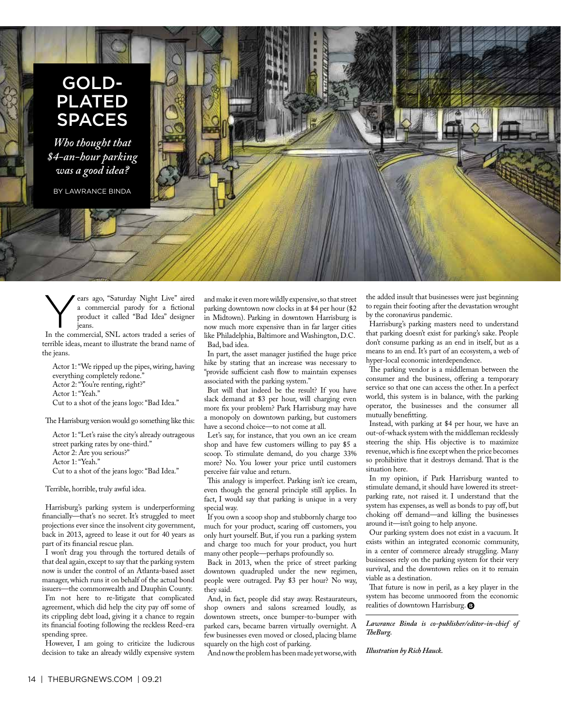## GOLD-PLATED SPACES

*Who thought that \$4-an-hour parking was a good idea?*

BY LAWRANCE BINDA



ears ago, "Saturday Night Live" aired a commercial parody for a fctional product it called "Bad Idea" designer jeans.

In the commercial, SNL actors traded a series of terrible ideas, meant to illustrate the brand name of the jeans.

Actor 1: "We ripped up the pipes, wiring, having everything completely redone." Actor 2: "You're renting, right?" Actor 1: "Yeah." Cut to a shot of the jeans logo: "Bad Idea."

The Harrisburg version would go something like this:

Actor 1: "Let's raise the city's already outrageous street parking rates by one-third." Actor 2: Are you serious?" Actor 1: "Yeah." Cut to a shot of the jeans logo: "Bad Idea."

Terrible, horrible, truly awful idea.

Harrisburg's parking system is underperforming fnancially—that's no secret. It's struggled to meet projections ever since the insolvent city government, back in 2013, agreed to lease it out for 40 years as part of its fnancial rescue plan.

I won't drag you through the tortured details of that deal again, except to say that the parking system now is under the control of an Atlanta-based asset manager, which runs it on behalf of the actual bond issuers—the commonwealth and Dauphin County. I'm not here to re-litigate that complicated agreement, which did help the city pay off some of its crippling debt load, giving it a chance to regain its fnancial footing following the reckless Reed-era spending spree.

However, I am going to criticize the ludicrous decision to take an already wildly expensive system and make it even more wildly expensive, so that street parking downtown now clocks in at \$4 per hour (\$2 in Midtown). Parking in downtown Harrisburg is now much more expensive than in far larger cities like Philadelphia, Baltimore and Washington, D.C. Bad, bad idea.

In part, the asset manager justifed the huge price hike by stating that an increase was necessary to "provide sufficient cash flow to maintain expenses associated with the parking system."

But will that indeed be the result? If you have slack demand at \$3 per hour, will charging even more fx your problem? Park Harrisburg may have a monopoly on downtown parking, but customers have a second choice—to not come at all.

Let's say, for instance, that you own an ice cream shop and have few customers willing to pay \$5 a scoop. To stimulate demand, do you charge 33% more? No. You lower your price until customers perceive fair value and return.

This analogy is imperfect. Parking isn't ice cream, even though the general principle still applies. In fact, I would say that parking is unique in a very special way.

If you own a scoop shop and stubbornly charge too much for your product, scaring off customers, you only hurt yourself. But, if you run a parking system and charge too much for your product, you hurt many other people—perhaps profoundly so.

Back in 2013, when the price of street parking downtown quadrupled under the new regimen, people were outraged. Pay \$3 per hour? No way, they said.

And, in fact, people did stay away. Restaurateurs, shop owners and salons screamed loudly, as downtown streets, once bumper-to-bumper with parked cars, became barren virtually overnight. A few businesses even moved or closed, placing blame squarely on the high cost of parking.

And now the problem has been made yet worse, with

the added insult that businesses were just beginning to regain their footing after the devastation wrought by the coronavirus pandemic.

Harrisburg's parking masters need to understand that parking doesn't exist for parking's sake. People don't consume parking as an end in itself, but as a means to an end. It's part of an ecosystem, a web of hyper-local economic interdependence.

The parking vendor is a middleman between the consumer and the business, ofering a temporary service so that one can access the other. In a perfect world, this system is in balance, with the parking operator, the businesses and the consumer all mutually beneftting.

Instead, with parking at \$4 per hour, we have an out-of-whack system with the middleman recklessly steering the ship. His objective is to maximize revenue, which is fne except when the price becomes so prohibitive that it destroys demand. That is the situation here.

In my opinion, if Park Harrisburg wanted to stimulate demand, it should have lowered its streetparking rate, not raised it. I understand that the system has expenses, as well as bonds to pay off, but choking off demand—and killing the businesses around it—isn't going to help anyone.

Our parking system does not exist in a vacuum. It exists within an integrated economic community, in a center of commerce already struggling. Many businesses rely on the parking system for their very survival, and the downtown relies on it to remain viable as a destination.

That future is now in peril, as a key player in the system has become unmoored from the economic realities of downtown Harrisburg.

*Lawrance Binda is co-publisher/editor-in-chief of TeBurg.*

*Illustration by Rich Hauck.*